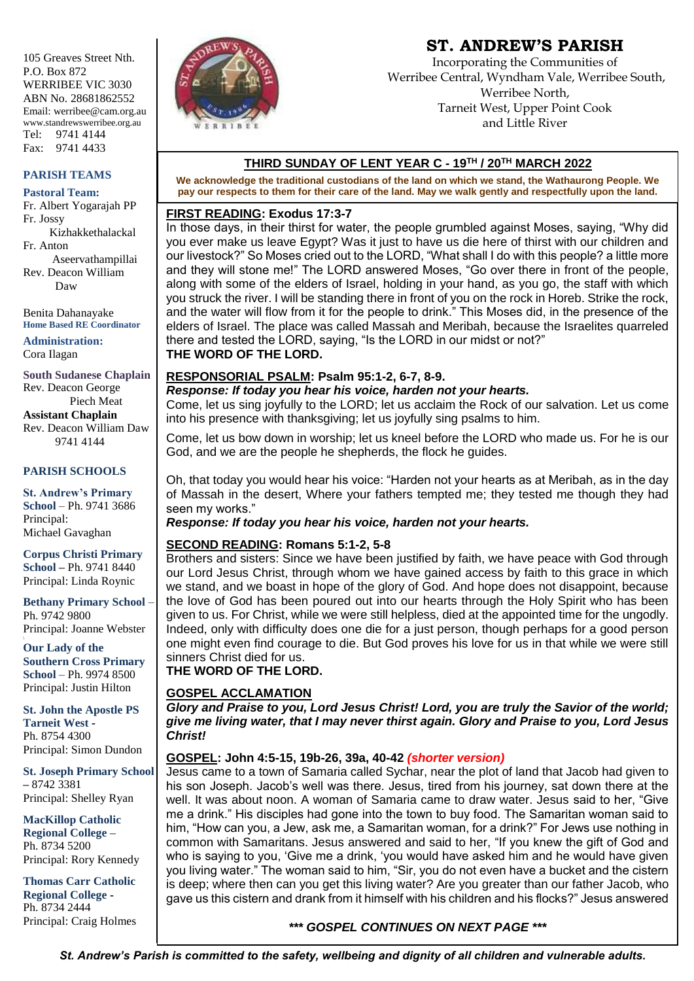105 Greaves Street Nth. P.O. Box 872 WERRIBEE VIC 3030 ABN No. 28681862552 Email: werribee@cam.org.au www.standrewswerribee.org.au Tel: 9741 4144 Fax: 9741 4433

#### **PARISH TEAMS**

#### **Pastoral Team:**

Fr. Albert Yogarajah PP Fr. Jossy Kizhakkethalackal Fr. Anton Aseervathampillai Rev. Deacon William Daw

Benita Dahanayake **Home Based RE Coordinator**

**Administration:** Cora Ilagan

**South Sudanese Chaplain** Rev. Deacon George Piech Meat **Assistant Chaplain** Rev. Deacon William Daw 9741 4144

#### **PARISH SCHOOLS**

**St. Andrew's Primary School** – Ph. 9741 3686 Principal: Michael Gavaghan

**Corpus Christi Primary School –** Ph. 9741 8440 Principal: Linda Roynic

**Bethany Primary School** – Ph. 9742 9800 Principal: Joanne Webster

**Our Lady of the Southern Cross Primary School** – Ph. 9974 8500 Principal: Justin Hilton

**St. John the Apostle PS Tarneit West -** Ph. 8754 4300 Principal: Simon Dundon

**St. Joseph Primary School –** 8742 3381 Principal: Shelley Ryan

**MacKillop Catholic Regional College –** Ph. 8734 5200 Principal: Rory Kennedy

**Thomas Carr Catholic Regional College -** Ph. 8734 2444 Principal: Craig Holmes



# **ST. ANDREW'S PARISH**

Incorporating the Communities of Werribee Central, Wyndham Vale, Werribee South, Werribee North, Tarneit West, Upper Point Cook and Little River

# **THIRD SUNDAY OF LENT YEAR C - 19 TH / 20TH MARCH 2022**

**We acknowledge the traditional custodians of the land on which we stand, the Wathaurong People. We pay our respects to them for their care of the land. May we walk gently and respectfully upon the land.**

#### **FIRST READING: Exodus 17:3-7**

In those days, in their thirst for water, the people grumbled against Moses, saying, "Why did you ever make us leave Egypt? Was it just to have us die here of thirst with our children and our livestock?" So Moses cried out to the LORD, "What shall I do with this people? a little more and they will stone me!" The LORD answered Moses, "Go over there in front of the people, along with some of the elders of Israel, holding in your hand, as you go, the staff with which you struck the river. I will be standing there in front of you on the rock in Horeb. Strike the rock, and the water will flow from it for the people to drink." This Moses did, in the presence of the elders of Israel. The place was called Massah and Meribah, because the Israelites quarreled there and tested the LORD, saying, "Is the LORD in our midst or not?" **THE WORD OF THE LORD.**

#### **RESPONSORIAL PSALM: Psalm 95:1-2, 6-7, 8-9.**

*Response: If today you hear his voice, harden not your hearts.*

Come, let us sing joyfully to the LORD; let us acclaim the Rock of our salvation. Let us come into his presence with thanksgiving; let us joyfully sing psalms to him.

Come, let us bow down in worship; let us kneel before the LORD who made us. For he is our God, and we are the people he shepherds, the flock he guides.

Oh, that today you would hear his voice: "Harden not your hearts as at Meribah, as in the day of Massah in the desert, Where your fathers tempted me; they tested me though they had seen my works."

## *Response: If today you hear his voice, harden not your hearts.*

## **SECOND READING: Romans 5:1-2, 5-8**

Brothers and sisters: Since we have been justified by faith, we have peace with God through our Lord Jesus Christ, through whom we have gained access by faith to this grace in which we stand, and we boast in hope of the glory of God. And hope does not disappoint, because the love of God has been poured out into our hearts through the Holy Spirit who has been given to us. For Christ, while we were still helpless, died at the appointed time for the ungodly. Indeed, only with difficulty does one die for a just person, though perhaps for a good person one might even find courage to die. But God proves his love for us in that while we were still sinners Christ died for us.

**THE WORD OF THE LORD.**

## **GOSPEL ACCLAMATION**

*Glory and Praise to you, Lord Jesus Christ! Lord, you are truly the Savior of the world; give me living water, that I may never thirst again. Glory and Praise to you, Lord Jesus Christ!*

## **GOSPEL: John 4:5-15, 19b-26, 39a, 40-42** *(shorter version)*

Jesus came to a town of Samaria called Sychar, near the plot of land that Jacob had given to his son Joseph. Jacob's well was there. Jesus, tired from his journey, sat down there at the well. It was about noon. A woman of Samaria came to draw water. Jesus said to her, "Give me a drink." His disciples had gone into the town to buy food. The Samaritan woman said to him, "How can you, a Jew, ask me, a Samaritan woman, for a drink?" For Jews use nothing in common with Samaritans. Jesus answered and said to her, "If you knew the gift of God and who is saying to you, 'Give me a drink, 'you would have asked him and he would have given you living water." The woman said to him, "Sir, you do not even have a bucket and the cistern is deep; where then can you get this living water? Are you greater than our father Jacob, who gave us this cistern and drank from it himself with his children and his flocks?" Jesus answered

# *\*\*\* GOSPEL CONTINUES ON NEXT PAGE \*\*\**

*St. Andrew's Parish is committed to the safety, wellbeing and dignity of all children and vulnerable adults.*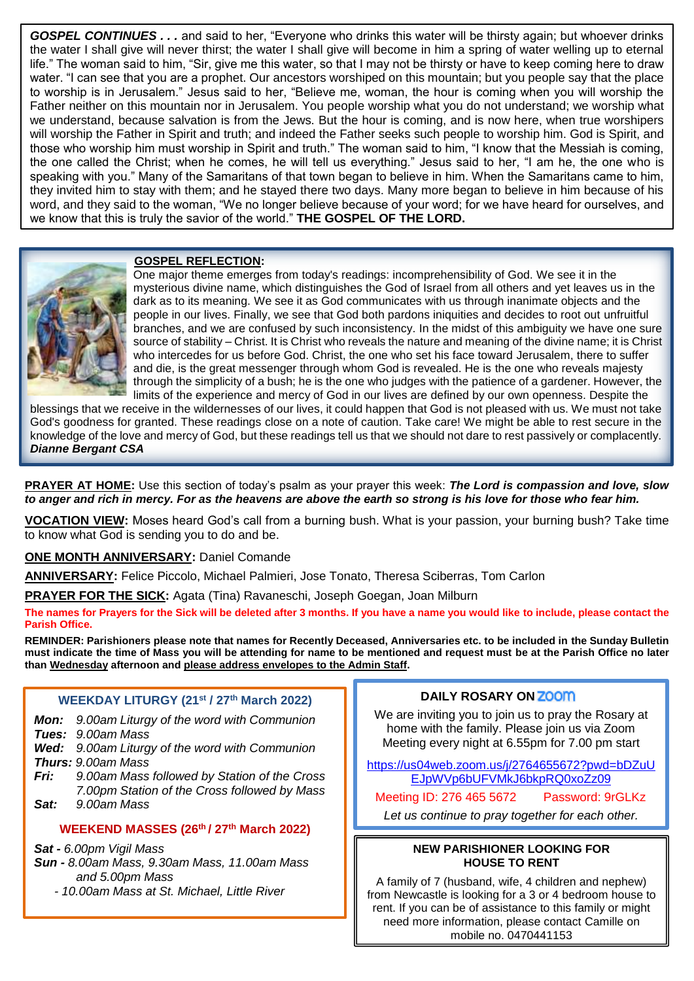*GOSPEL CONTINUES . . .* and said to her, "Everyone who drinks this water will be thirsty again; but whoever drinks the water I shall give will never thirst; the water I shall give will become in him a spring of water welling up to eternal life." The woman said to him, "Sir, give me this water, so that I may not be thirsty or have to keep coming here to draw water. "I can see that you are a prophet. Our ancestors worshiped on this mountain; but you people say that the place to worship is in Jerusalem." Jesus said to her, "Believe me, woman, the hour is coming when you will worship the Father neither on this mountain nor in Jerusalem. You people worship what you do not understand; we worship what we understand, because salvation is from the Jews. But the hour is coming, and is now here, when true worshipers will worship the Father in Spirit and truth; and indeed the Father seeks such people to worship him. God is Spirit, and those who worship him must worship in Spirit and truth." The woman said to him, "I know that the Messiah is coming, the one called the Christ; when he comes, he will tell us everything." Jesus said to her, "I am he, the one who is speaking with you." Many of the Samaritans of that town began to believe in him. When the Samaritans came to him, they invited him to stay with them; and he stayed there two days. Many more began to believe in him because of his word, and they said to the woman, "We no longer believe because of your word; for we have heard for ourselves, and we know that this is truly the savior of the world." **THE GOSPEL OF THE LORD.**

#### **GOSPEL REFLECTION:**



 One major theme emerges from today's readings: incomprehensibility of God. We see it in the mysterious divine name, which distinguishes the God of Israel from all others and yet leaves us in the dark as to its meaning. We see it as God communicates with us through inanimate objects and the people in our lives. Finally, we see that God both pardons iniquities and decides to root out unfruitful branches, and we are confused by such inconsistency. In the midst of this ambiguity we have one sure source of stability – Christ. It is Christ who reveals the nature and meaning of the divine name; it is Christ who intercedes for us before God. Christ, the one who set his face toward Jerusalem, there to suffer and die, is the great messenger through whom God is revealed. He is the one who reveals majesty through the simplicity of a bush; he is the one who judges with the patience of a gardener. However, the limits of the experience and mercy of God in our lives are defined by our own openness. Despite the

blessings that we receive in the wildernesses of our lives, it could happen that God is not pleased with us. We must not take God's goodness for granted. These readings close on a note of caution. Take care! We might be able to rest secure in the knowledge of the love and mercy of God, but these readings tell us that we should not dare to rest passively or complacently. *Dianne Bergant CSA*

**PRAYER AT HOME:** Use this section of today's psalm as your prayer this week: *The Lord is compassion and love, slow to anger and rich in mercy. For as the heavens are above the earth so strong is his love for those who fear him.*

**VOCATION VIEW:** Moses heard God's call from a burning bush. What is your passion, your burning bush? Take time to know what God is sending you to do and be.

**ONE MONTH ANNIVERSARY:** Daniel Comande

**ANNIVERSARY:** Felice Piccolo, Michael Palmieri, Jose Tonato, Theresa Sciberras, Tom Carlon

**PRAYER FOR THE SICK:** Agata (Tina) Ravaneschi, Joseph Goegan, Joan Milburn

**The names for Prayers for the Sick will be deleted after 3 months. If you have a name you would like to include, please contact the Parish Office.**

**REMINDER: Parishioners please note that names for Recently Deceased, Anniversaries etc. to be included in the Sunday Bulletin must indicate the time of Mass you will be attending for name to be mentioned and request must be at the Parish Office no later than Wednesday afternoon and please address envelopes to the Admin Staff.** 

#### **WEEKDAY LITURGY (21st / 27th March 2022)**

- *Mon: 9.00am Liturgy of the word with Communion Tues: 9.00am Mass*
- *Wed: 9.00am Liturgy of the word with Communion Thurs: 9.00am Mass*
- *Fri: 9.00am Mass followed by Station of the Cross 7.00pm Station of the Cross followed by Mass Sat: 9.00am Mass*

# **WEEKEND MASSES (26th / 27th March 2022)**

*Sat - 6.00pm Vigil Mass*

- *Sun - 8.00am Mass, 9.30am Mass, 11.00am Mass and 5.00pm Mass*
	- *- 10.00am Mass at St. Michael, Little River*

## **DAILY ROSARY ON ZOOM**

We are inviting you to join us to pray the Rosary at home with the family. Please join us via Zoom Meeting every night at 6.55pm for 7.00 pm start

https://us04web.zoom.us/j/2764655672?pwd=bDZuU EJpWVp6bUFVMkJ6bkpRQ0xoZz09

Meeting ID: 276 465 5672 Password: 9rGLKz

*Let us continue to pray together for each other.*

#### **NEW PARISHIONER LOOKING FOR HOUSE TO RENT**

A family of 7 (husband, wife, 4 children and nephew) from Newcastle is looking for a 3 or 4 bedroom house to rent. If you can be of assistance to this family or might need more information, please contact Camille on mobile no. 0470441153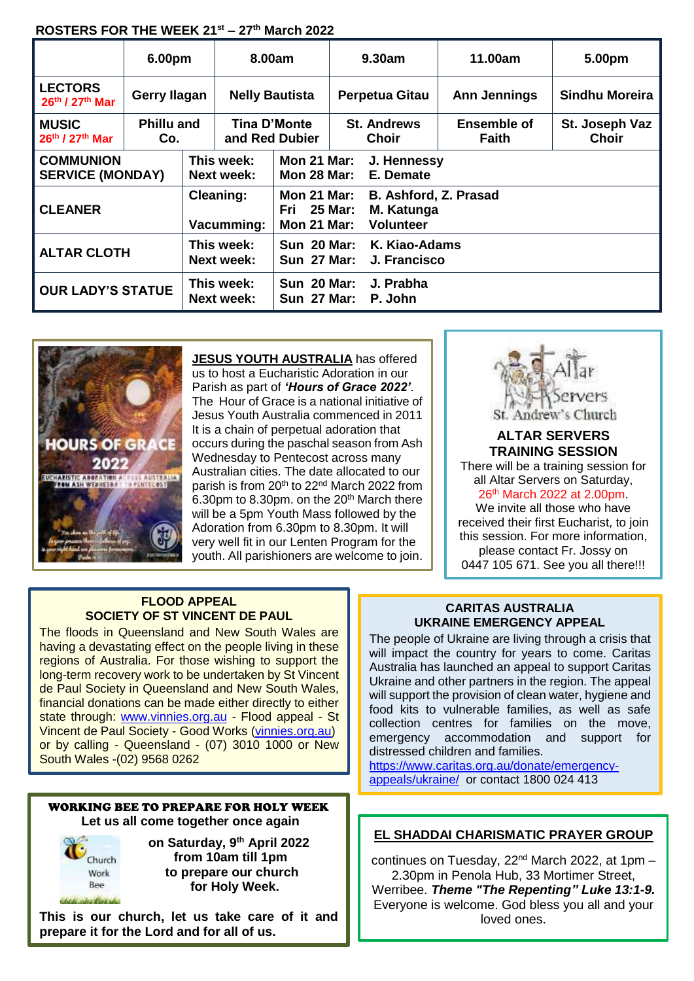## **ROSTERS FOR THE WEEK 21st – 27th March 2022**

|                                             | 6.00pm                   |                                 | 8.00am                                |                                                                                                                    | 9.30am                        |                      | 11.00am                     | 5.00pm                         |
|---------------------------------------------|--------------------------|---------------------------------|---------------------------------------|--------------------------------------------------------------------------------------------------------------------|-------------------------------|----------------------|-----------------------------|--------------------------------|
| <b>LECTORS</b><br>26th / 27th Mar           | Gerry Ilagan             |                                 | <b>Nelly Bautista</b>                 |                                                                                                                    | <b>Perpetua Gitau</b>         |                      | <b>Ann Jennings</b>         | <b>Sindhu Moreira</b>          |
| <b>MUSIC</b><br>26th / 27th Mar             | <b>Phillu and</b><br>Co. |                                 | <b>Tina D'Monte</b><br>and Red Dubier |                                                                                                                    | <b>St. Andrews</b><br>Choir   |                      | Ensemble of<br><b>Faith</b> | St. Joseph Vaz<br><b>Choir</b> |
| <b>COMMUNION</b><br><b>SERVICE (MONDAY)</b> |                          | This week:<br><b>Next week:</b> |                                       | Mon 21 Mar:<br>J. Hennessy<br><b>Mon 28 Mar:</b><br>E. Demate                                                      |                               |                      |                             |                                |
| <b>CLEANER</b>                              |                          | <b>Cleaning:</b><br>Vacumming:  |                                       | <b>Mon 21 Mar:</b><br>B. Ashford, Z. Prasad<br>Fri 25 Mar:<br>M. Katunga<br><b>Volunteer</b><br><b>Mon 21 Mar:</b> |                               |                      |                             |                                |
| <b>ALTAR CLOTH</b>                          |                          | This week:<br><b>Next week:</b> |                                       | <b>Sun 20 Mar:</b><br><b>Sun 27 Mar:</b>                                                                           | K. Kiao-Adams<br>J. Francisco |                      |                             |                                |
| <b>OUR LADY'S STATUE</b>                    |                          |                                 | This week:<br><b>Next week:</b>       | <b>Sun 20 Mar:</b><br><b>Sun 27 Mar:</b>                                                                           |                               | J. Prabha<br>P. John |                             |                                |



**JESUS YOUTH AUSTRALIA** has offered us to host a Eucharistic Adoration in our Parish as part of *'Hours of Grace 2022'*. The Hour of Grace is a national initiative of Jesus Youth Australia commenced in 2011 It is a chain of perpetual adoration that occurs during the paschal season from Ash Wednesday to Pentecost across many Australian cities. The date allocated to our parish is from 20<sup>th</sup> to 22<sup>nd</sup> March 2022 from 6.30pm to 8.30pm. on the  $20<sup>th</sup>$  March there will be a 5pm Youth Mass followed by the Adoration from 6.30pm to 8.30pm. It will very well fit in our Lenten Program for the youth. All parishioners are welcome to join.



#### **ALTAR SERVERS TRAINING SESSION**

There will be a training session for all Altar Servers on Saturday, 26th March 2022 at 2.00pm.

We invite all those who have received their first Eucharist, to join this session. For more information, please contact Fr. Jossy on 0447 105 671. See you all there!!!

## **FLOOD APPEAL SOCIETY OF ST VINCENT DE PAUL**

The floods in Queensland and New South Wales are having a devastating effect on the people living in these regions of Australia. For those wishing to support the long-term recovery work to be undertaken by St Vincent de Paul Society in Queensland and New South Wales, financial donations can be made either directly to either state through: www.vinnies.org.au - Flood appeal - St Vincent de Paul Society - Good Works (vinnies.org.au) or by calling - Queensland - (07) 3010 1000 or New South Wales -(02) 9568 0262

## WORKING BEE TO PREPARE FOR HOLY WEEK **Let us all come together once again**



 **on Saturday, 9 th April 2022 from 10am till 1pm to prepare our church for Holy Week.**

**This is our church, let us take care of it and prepare it for the Lord and for all of us.**

#### **CARITAS AUSTRALIA UKRAINE EMERGENCY APPEAL**

The people of Ukraine are living through a crisis that will impact the country for years to come. Caritas Australia has launched an appeal to support Caritas Ukraine and other partners in the region. The appeal will support the provision of clean water, hygiene and food kits to vulnerable families, as well as safe collection centres for families on the move, emergency accommodation and support for distressed children and families.

https://www.caritas.org.au/donate/emergencyappeals/ukraine/ or contact 1800 024 413

# **EL SHADDAI CHARISMATIC PRAYER GROUP**

continues on Tuesday,  $22<sup>nd</sup>$  March 2022, at 1pm – 2.30pm in Penola Hub, 33 Mortimer Street,

Werribee. *Theme "The Repenting" Luke 13:1-9.*  Everyone is welcome. God bless you all and your loved ones.